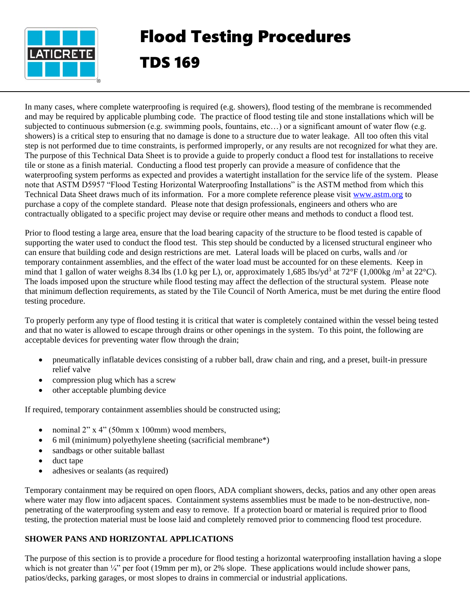

## Flood Testing Procedures TDS 169

In many cases, where complete waterproofing is required (e.g. showers), flood testing of the membrane is recommended and may be required by applicable plumbing code. The practice of flood testing tile and stone installations which will be subjected to continuous submersion (e.g. swimming pools, fountains, etc…) or a significant amount of water flow (e.g. showers) is a critical step to ensuring that no damage is done to a structure due to water leakage. All too often this vital step is not performed due to time constraints, is performed improperly, or any results are not recognized for what they are. The purpose of this Technical Data Sheet is to provide a guide to properly conduct a flood test for installations to receive tile or stone as a finish material. Conducting a flood test properly can provide a measure of confidence that the waterproofing system performs as expected and provides a watertight installation for the service life of the system. Please note that ASTM D5957 "Flood Testing Horizontal Waterproofing Installations" is the ASTM method from which this Technical Data Sheet draws much of its information. For a more complete reference please visit [www.astm.org](http://www.astm.org/) to purchase a copy of the complete standard. Please note that design professionals, engineers and others who are contractually obligated to a specific project may devise or require other means and methods to conduct a flood test.

Prior to flood testing a large area, ensure that the load bearing capacity of the structure to be flood tested is capable of supporting the water used to conduct the flood test. This step should be conducted by a licensed structural engineer who can ensure that building code and design restrictions are met. Lateral loads will be placed on curbs, walls and /or temporary containment assemblies, and the effect of the water load must be accounted for on these elements. Keep in mind that 1 gallon of water weighs 8.34 lbs (1.0 kg per L), or, approximately 1,685 lbs/yd<sup>3</sup> at 72°F (1,000kg/m<sup>3</sup> at 22°C). The loads imposed upon the structure while flood testing may affect the deflection of the structural system. Please note that minimum deflection requirements, as stated by the Tile Council of North America, must be met during the entire flood testing procedure.

To properly perform any type of flood testing it is critical that water is completely contained within the vessel being tested and that no water is allowed to escape through drains or other openings in the system. To this point, the following are acceptable devices for preventing water flow through the drain;

- pneumatically inflatable devices consisting of a rubber ball, draw chain and ring, and a preset, built-in pressure relief valve
- compression plug which has a screw
- other acceptable plumbing device

If required, temporary containment assemblies should be constructed using;

- nominal 2" x 4" (50mm x 100mm) wood members,
- 6 mil (minimum) polyethylene sheeting (sacrificial membrane\*)
- sandbags or other suitable ballast
- duct tape
- adhesives or sealants (as required)

Temporary containment may be required on open floors, ADA compliant showers, decks, patios and any other open areas where water may flow into adjacent spaces. Containment systems assemblies must be made to be non-destructive, nonpenetrating of the waterproofing system and easy to remove. If a protection board or material is required prior to flood testing, the protection material must be loose laid and completely removed prior to commencing flood test procedure.

## **SHOWER PANS AND HORIZONTAL APPLICATIONS**

The purpose of this section is to provide a procedure for flood testing a horizontal waterproofing installation having a slope which is not greater than  $\frac{1}{4}$ " per foot (19mm per m), or 2% slope. These applications would include shower pans, patios/decks, parking garages, or most slopes to drains in commercial or industrial applications.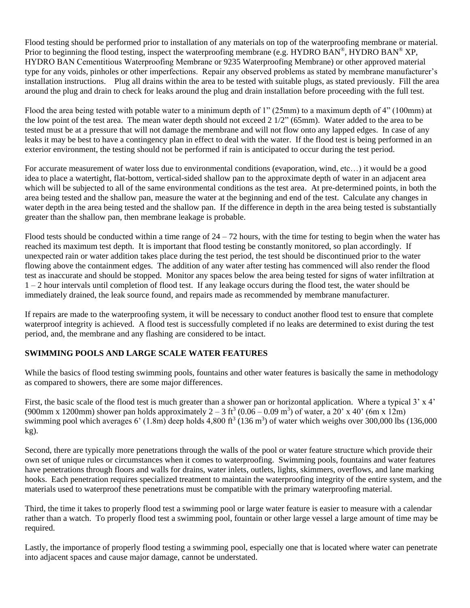Flood testing should be performed prior to installation of any materials on top of the waterproofing membrane or material. Prior to beginning the flood testing, inspect the waterproofing membrane (e.g. HYDRO BAN®, HYDRO BAN® XP, HYDRO BAN Cementitious Waterproofing Membrane or 9235 Waterproofing Membrane) or other approved material type for any voids, pinholes or other imperfections. Repair any observed problems as stated by membrane manufacturer's installation instructions. Plug all drains within the area to be tested with suitable plugs, as stated previously. Fill the area around the plug and drain to check for leaks around the plug and drain installation before proceeding with the full test.

Flood the area being tested with potable water to a minimum depth of 1" (25mm) to a maximum depth of 4" (100mm) at the low point of the test area. The mean water depth should not exceed 2 1/2" (65mm). Water added to the area to be tested must be at a pressure that will not damage the membrane and will not flow onto any lapped edges. In case of any leaks it may be best to have a contingency plan in effect to deal with the water. If the flood test is being performed in an exterior environment, the testing should not be performed if rain is anticipated to occur during the test period.

For accurate measurement of water loss due to environmental conditions (evaporation, wind, etc…) it would be a good idea to place a watertight, flat-bottom, vertical-sided shallow pan to the approximate depth of water in an adjacent area which will be subjected to all of the same environmental conditions as the test area. At pre-determined points, in both the area being tested and the shallow pan, measure the water at the beginning and end of the test. Calculate any changes in water depth in the area being tested and the shallow pan. If the difference in depth in the area being tested is substantially greater than the shallow pan, then membrane leakage is probable.

Flood tests should be conducted within a time range of  $24 - 72$  hours, with the time for testing to begin when the water has reached its maximum test depth. It is important that flood testing be constantly monitored, so plan accordingly. If unexpected rain or water addition takes place during the test period, the test should be discontinued prior to the water flowing above the containment edges. The addition of any water after testing has commenced will also render the flood test as inaccurate and should be stopped. Monitor any spaces below the area being tested for signs of water infiltration at  $1 - 2$  hour intervals until completion of flood test. If any leakage occurs during the flood test, the water should be immediately drained, the leak source found, and repairs made as recommended by membrane manufacturer.

If repairs are made to the waterproofing system, it will be necessary to conduct another flood test to ensure that complete waterproof integrity is achieved. A flood test is successfully completed if no leaks are determined to exist during the test period, and, the membrane and any flashing are considered to be intact.

## **SWIMMING POOLS AND LARGE SCALE WATER FEATURES**

While the basics of flood testing swimming pools, fountains and other water features is basically the same in methodology as compared to showers, there are some major differences.

First, the basic scale of the flood test is much greater than a shower pan or horizontal application. Where a typical 3' x 4' (900mm x 1200mm) shower pan holds approximately  $2-3$  ft<sup>3</sup> (0.06 - 0.09 m<sup>3</sup>) of water, a 20' x 40' (6m x 12m) swimming pool which averages 6'  $(1.8m)$  deep holds 4,800 ft<sup>3</sup>  $(136 m<sup>3</sup>)$  of water which weighs over 300,000 lbs  $(136,000$ kg).

Second, there are typically more penetrations through the walls of the pool or water feature structure which provide their own set of unique rules or circumstances when it comes to waterproofing. Swimming pools, fountains and water features have penetrations through floors and walls for drains, water inlets, outlets, lights, skimmers, overflows, and lane marking hooks. Each penetration requires specialized treatment to maintain the waterproofing integrity of the entire system, and the materials used to waterproof these penetrations must be compatible with the primary waterproofing material.

Third, the time it takes to properly flood test a swimming pool or large water feature is easier to measure with a calendar rather than a watch. To properly flood test a swimming pool, fountain or other large vessel a large amount of time may be required.

Lastly, the importance of properly flood testing a swimming pool, especially one that is located where water can penetrate into adjacent spaces and cause major damage, cannot be understated.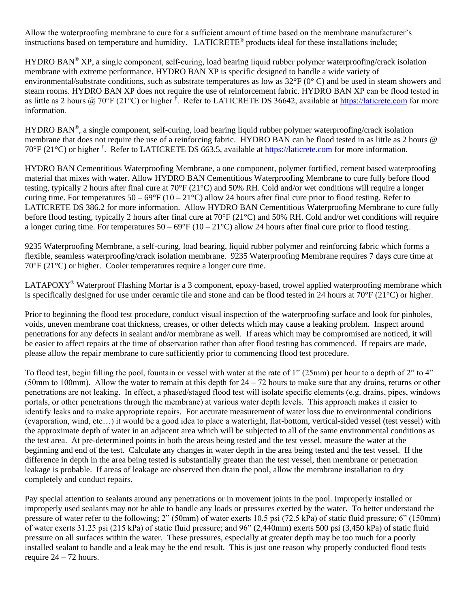Allow the waterproofing membrane to cure for a sufficient amount of time based on the membrane manufacturer's instructions based on temperature and humidity. LATICRETE<sup>®</sup> products ideal for these installations include;

HYDRO BAN<sup>®</sup> XP, a single component, self-curing, load bearing liquid rubber polymer waterproofing/crack isolation membrane with extreme performance. HYDRO BAN XP is specific designed to handle a wide variety of environmental/substrate conditions, such as substrate temperatures as low as  $32^{\circ}F(0^{\circ}C)$  and be used in steam showers and steam rooms. HYDRO BAN XP does not require the use of reinforcement fabric. HYDRO BAN XP can be flood tested in as little as 2 hours @ 70°F (21°C) or higher <sup>†</sup>. Refer to LATICRETE DS 36642, available at [https://laticrete.com](https://laticrete.com/) for more information.

HYDRO BAN®, a single component, self-curing, load bearing liquid rubber polymer waterproofing/crack isolation membrane that does not require the use of a reinforcing fabric. HYDRO BAN can be flood tested in as little as 2 hours @ 70°F (21°C) or higher <sup>†</sup>. Refer to LATICRETE DS 663.5, available at [https://laticrete.com](https://laticrete.com/) for more information.

HYDRO BAN Cementitious Waterproofing Membrane, a one component, polymer fortified, cement based waterproofing material that mixes with water. Allow HYDRO BAN Cementitious Waterproofing Membrane to cure fully before flood testing, typically 2 hours after final cure at  $70^{\circ}F(21^{\circ}C)$  and  $50\%$  RH. Cold and/or wet conditions will require a longer curing time. For temperatures  $50 - 69^{\circ}F (10 - 21^{\circ}C)$  allow 24 hours after final cure prior to flood testing. Refer to LATICRETE DS 386.2 for more information. Allow HYDRO BAN Cementitious Waterproofing Membrane to cure fully before flood testing, typically 2 hours after final cure at  $70^{\circ}F(21^{\circ}C)$  and 50% RH. Cold and/or wet conditions will require a longer curing time. For temperatures  $50 - 69^{\circ}F (10 - 21^{\circ}C)$  allow 24 hours after final cure prior to flood testing.

9235 Waterproofing Membrane, a self-curing, load bearing, liquid rubber polymer and reinforcing fabric which forms a flexible, seamless waterproofing/crack isolation membrane. 9235 Waterproofing Membrane requires 7 days cure time at 70°F (21°C) or higher. Cooler temperatures require a longer cure time.

LATAPOXY<sup>®</sup> Waterproof Flashing Mortar is a 3 component, epoxy-based, trowel applied waterproofing membrane which is specifically designed for use under ceramic tile and stone and can be flood tested in 24 hours at  $70^{\circ}$ F (21 $^{\circ}$ C) or higher.

Prior to beginning the flood test procedure, conduct visual inspection of the waterproofing surface and look for pinholes, voids, uneven membrane coat thickness, creases, or other defects which may cause a leaking problem. Inspect around penetrations for any defects in sealant and/or membrane as well. If areas which may be compromised are noticed, it will be easier to affect repairs at the time of observation rather than after flood testing has commenced. If repairs are made, please allow the repair membrane to cure sufficiently prior to commencing flood test procedure.

To flood test, begin filling the pool, fountain or vessel with water at the rate of 1" (25mm) per hour to a depth of 2" to 4" (50mm to 100mm). Allow the water to remain at this depth for  $24 - 72$  hours to make sure that any drains, returns or other penetrations are not leaking. In effect, a phased/staged flood test will isolate specific elements (e.g. drains, pipes, windows portals, or other penetrations through the membrane) at various water depth levels. This approach makes it easier to identify leaks and to make appropriate repairs. For accurate measurement of water loss due to environmental conditions (evaporation, wind, etc…) it would be a good idea to place a watertight, flat-bottom, vertical-sided vessel (test vessel) with the approximate depth of water in an adjacent area which will be subjected to all of the same environmental conditions as the test area. At pre-determined points in both the areas being tested and the test vessel, measure the water at the beginning and end of the test. Calculate any changes in water depth in the area being tested and the test vessel. If the difference in depth in the area being tested is substantially greater than the test vessel, then membrane or penetration leakage is probable. If areas of leakage are observed then drain the pool, allow the membrane installation to dry completely and conduct repairs.

Pay special attention to sealants around any penetrations or in movement joints in the pool. Improperly installed or improperly used sealants may not be able to handle any loads or pressures exerted by the water. To better understand the pressure of water refer to the following; 2" (50mm) of water exerts 10.5 psi (72.5 kPa) of static fluid pressure; 6" (150mm) of water exerts 31.25 psi (215 kPa) of static fluid pressure; and 96" (2,440mm) exerts 500 psi (3,450 kPa) of static fluid pressure on all surfaces within the water. These pressures, especially at greater depth may be too much for a poorly installed sealant to handle and a leak may be the end result. This is just one reason why properly conducted flood tests require  $24 - 72$  hours.